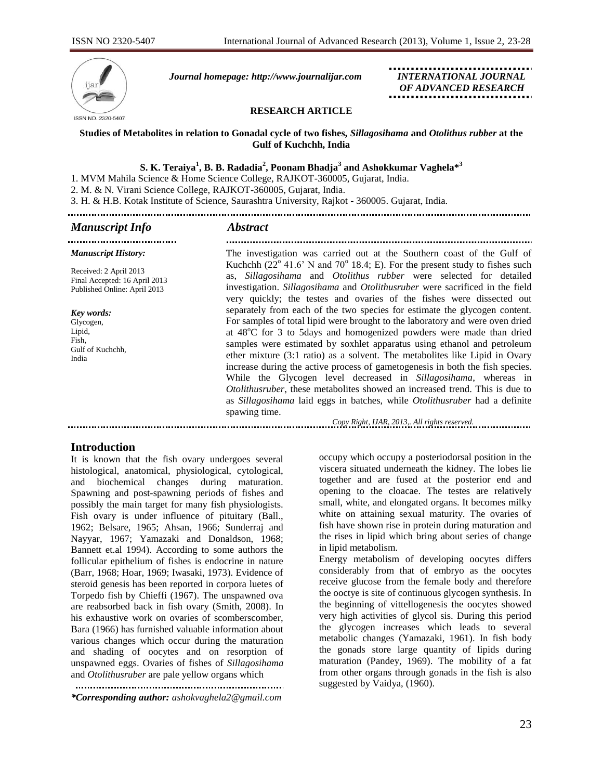

 *Journal homepage: [http://www.journalijar.com](http://www.journalijar.com/) INTERNATIONAL JOURNAL*

 *OF ADVANCED RESEARCH*

#### **RESEARCH ARTICLE**

#### **Studies of Metabolites in relation to Gonadal cycle of two fishes,** *Sillagosihama* **and** *Otolithus rubber* **at the Gulf of Kuchchh, India**

## $\,$  **S. K.** Teraiya $^1$ , **B. B. R**adadia $^2$ , Poonam Bhadja $^3$  and Ashokkumar Vaghela $*^3$

1. MVM Mahila Science & Home Science College, RAJKOT-360005, Gujarat, India.

2. M. & N. Virani Science College, RAJKOT-360005, Gujarat, India.

3. H. & H.B. Kotak Institute of Science, Saurashtra University, Rajkot - 360005. Gujarat, India.

#### *Manuscript Info Abstract*

.................................... *Manuscript History:*

Received: 2 April 2013 Final Accepted: 16 April 2013 Published Online: April 2013

*Key words:*  Glycogen, Lipid, Fish, Gulf of Kuchchh, India

The investigation was carried out at the Southern coast of the Gulf of Kuchchh  $(22^{\circ} 41.6^{\circ} N$  and  $70^{\circ} 18.4; E)$ . For the present study to fishes such as, *Sillagosihama* and *Otolithus rubber* were selected for detailed investigation. *Sillagosihama* and *Otolithusruber* were sacrificed in the field very quickly; the testes and ovaries of the fishes were dissected out separately from each of the two species for estimate the glycogen content. For samples of total lipid were brought to the laboratory and were oven dried at 48<sup>o</sup>C for 3 to 5days and homogenized powders were made than dried samples were estimated by soxhlet apparatus using ethanol and petroleum ether mixture (3:1 ratio) as a solvent. The metabolites like Lipid in Ovary increase during the active process of gametogenesis in both the fish species. While the Glycogen level decreased in *Sillagosihama*, whereas in *Otolithusruber*, these metabolites showed an increased trend. This is due to as *Sillagosihama* laid eggs in batches, while *Otolithusruber* had a definite spawing time.

*Copy Right, IJAR, 2013,. All rights reserved.*

## **Introduction**

It is known that the fish ovary undergoes several histological, anatomical, physiological, cytological, and biochemical changes during maturation. Spawning and post-spawning periods of fishes and possibly the main target for many fish physiologists. Fish ovary is under influence of pituitary (Ball., 1962; Belsare, 1965; Ahsan, 1966; Sunderraj and Nayyar, 1967; Yamazaki and Donaldson, 1968; Bannett et.al 1994). According to some authors the follicular epithelium of fishes is endocrine in nature (Barr, 1968; Hoar, 1969; Iwasaki, 1973). Evidence of steroid genesis has been reported in corpora luetes of Torpedo fish by Chieffi (1967). The unspawned ova are reabsorbed back in fish ovary (Smith, 2008). In his exhaustive work on ovaries of scomberscomber, Bara (1966) has furnished valuable information about various changes which occur during the maturation and shading of oocytes and on resorption of unspawned eggs. Ovaries of fishes of *Sillagosihama* and *Otolithusruber* are pale yellow organs which

*\*Corresponding author: [ashokvaghela2@gmail.com](mailto:ashokvaghela2@gmail.com)* occupy which occupy a posteriodorsal position in the viscera situated underneath the kidney. The lobes lie together and are fused at the posterior end and opening to the cloacae. The testes are relatively small, white, and elongated organs. It becomes milky white on attaining sexual maturity. The ovaries of fish have shown rise in protein during maturation and the rises in lipid which bring about series of change in lipid metabolism.

Energy metabolism of developing oocytes differs considerably from that of embryo as the oocytes receive glucose from the female body and therefore the ooctye is site of continuous glycogen synthesis. In the beginning of vittellogenesis the oocytes showed very high activities of glycol sis. During this period the glycogen increases which leads to several metabolic changes (Yamazaki, 1961). In fish body the gonads store large quantity of lipids during maturation (Pandey, 1969). The mobility of a fat from other organs through gonads in the fish is also suggested by Vaidya, (1960).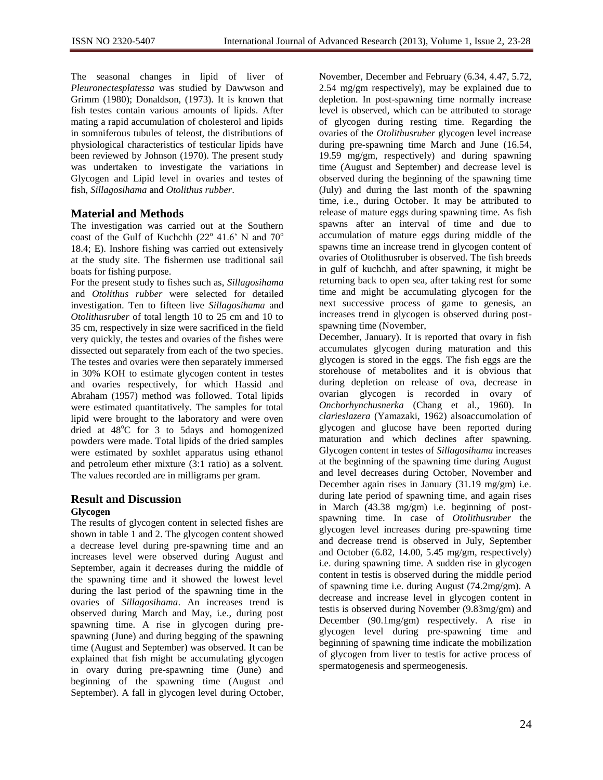The seasonal changes in lipid of liver of *Pleuronectesplatessa* was studied by Dawwson and Grimm (1980); Donaldson, (1973). It is known that fish testes contain various amounts of lipids. After mating a rapid accumulation of cholesterol and lipids in somniferous tubules of teleost, the distributions of physiological characteristics of testicular lipids have been reviewed by Johnson (1970). The present study was undertaken to investigate the variations in Glycogen and Lipid level in ovaries and testes of fish, *Sillagosihama* and *Otolithus rubber*.

# **Material and Methods**

The investigation was carried out at the Southern coast of the Gulf of Kuchchh (22 $^{\circ}$  41.6' N and 70 $^{\circ}$ 18.4; E). Inshore fishing was carried out extensively at the study site. The fishermen use traditional sail boats for fishing purpose.

For the present study to fishes such as, *Sillagosihama* and *Otolithus rubber* were selected for detailed investigation. Ten to fifteen live *Sillagosihama* and *Otolithusruber* of total length 10 to 25 cm and 10 to 35 cm, respectively in size were sacrificed in the field very quickly, the testes and ovaries of the fishes were dissected out separately from each of the two species. The testes and ovaries were then separately immersed in 30% KOH to estimate glycogen content in testes and ovaries respectively, for which Hassid and Abraham (1957) method was followed. Total lipids were estimated quantitatively. The samples for total lipid were brought to the laboratory and were oven dried at  $48^{\circ}$ C for 3 to 5days and homogenized powders were made. Total lipids of the dried samples were estimated by soxhlet apparatus using ethanol and petroleum ether mixture (3:1 ratio) as a solvent. The values recorded are in milligrams per gram.

## **Result and Discussion Glycogen**

The results of glycogen content in selected fishes are shown in table 1 and 2. The glycogen content showed a decrease level during pre-spawning time and an increases level were observed during August and September, again it decreases during the middle of the spawning time and it showed the lowest level during the last period of the spawning time in the ovaries of *Sillagosihama*. An increases trend is observed during March and May, i.e., during post spawning time. A rise in glycogen during prespawning (June) and during begging of the spawning time (August and September) was observed. It can be explained that fish might be accumulating glycogen in ovary during pre-spawning time (June) and beginning of the spawning time (August and September). A fall in glycogen level during October,

November, December and February (6.34, 4.47, 5.72, 2.54 mg/gm respectively), may be explained due to depletion. In post-spawning time normally increase level is observed, which can be attributed to storage of glycogen during resting time. Regarding the ovaries of the *Otolithusruber* glycogen level increase during pre-spawning time March and June (16.54, 19.59 mg/gm, respectively) and during spawning time (August and September) and decrease level is observed during the beginning of the spawning time (July) and during the last month of the spawning time, i.e., during October. It may be attributed to release of mature eggs during spawning time. As fish spawns after an interval of time and due to accumulation of mature eggs during middle of the spawns time an increase trend in glycogen content of ovaries of Otolithusruber is observed. The fish breeds in gulf of kuchchh, and after spawning, it might be returning back to open sea, after taking rest for some time and might be accumulating glycogen for the next successive process of game to genesis, an increases trend in glycogen is observed during postspawning time (November,

December, January). It is reported that ovary in fish accumulates glycogen during maturation and this glycogen is stored in the eggs. The fish eggs are the storehouse of metabolites and it is obvious that during depletion on release of ova, decrease in ovarian glycogen is recorded in ovary of *Onchorhynchusnerka* (Chang et al., 1960). In *clarieslazera* (Yamazaki, 1962) alsoaccumolation of glycogen and glucose have been reported during maturation and which declines after spawning. Glycogen content in testes of *Sillagosihama* increases at the beginning of the spawning time during August and level decreases during October, November and December again rises in January (31.19 mg/gm) i.e. during late period of spawning time, and again rises in March (43.38 mg/gm) i.e. beginning of postspawning time. In case of *Otolithusruber* the glycogen level increases during pre-spawning time and decrease trend is observed in July, September and October (6.82, 14.00, 5.45 mg/gm, respectively) i.e. during spawning time. A sudden rise in glycogen content in testis is observed during the middle period of spawning time i.e. during August (74.2mg/gm). A decrease and increase level in glycogen content in testis is observed during November (9.83mg/gm) and December (90.1mg/gm) respectively. A rise in glycogen level during pre-spawning time and beginning of spawning time indicate the mobilization of glycogen from liver to testis for active process of spermatogenesis and spermeogenesis.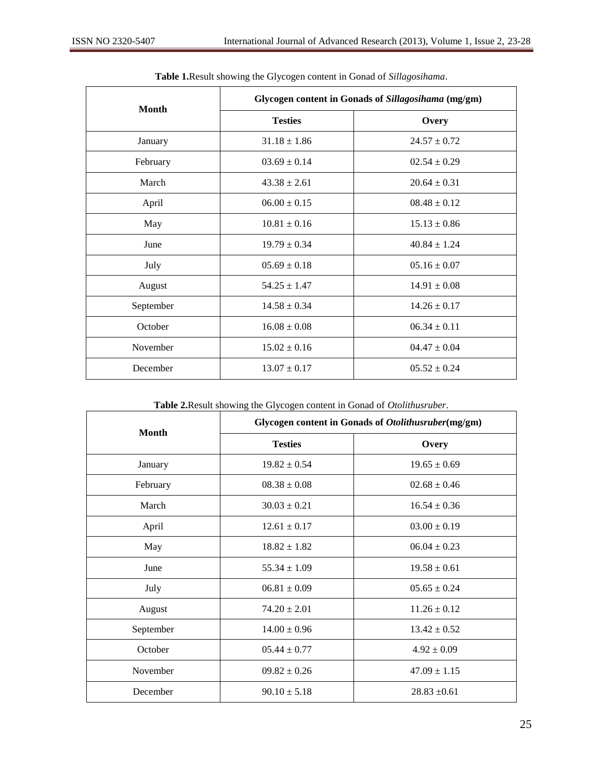| <b>Month</b> | Glycogen content in Gonads of Sillagosihama (mg/gm) |                  |
|--------------|-----------------------------------------------------|------------------|
|              | <b>Testies</b>                                      | Overy            |
| January      | $31.18 \pm 1.86$                                    | $24.57 \pm 0.72$ |
| February     | $03.69 \pm 0.14$                                    | $02.54 \pm 0.29$ |
| March        | $43.38 \pm 2.61$                                    | $20.64 \pm 0.31$ |
| April        | $06.00 \pm 0.15$                                    | $08.48 \pm 0.12$ |
| May          | $10.81 \pm 0.16$                                    | $15.13 \pm 0.86$ |
| June         | $19.79 \pm 0.34$                                    | $40.84 \pm 1.24$ |
| July         | $05.69 \pm 0.18$                                    | $05.16 \pm 0.07$ |
| August       | $54.25 \pm 1.47$                                    | $14.91 \pm 0.08$ |
| September    | $14.58 \pm 0.34$                                    | $14.26 \pm 0.17$ |
| October      | $16.08 \pm 0.08$                                    | $06.34 \pm 0.11$ |
| November     | $15.02 \pm 0.16$                                    | $04.47 \pm 0.04$ |
| December     | $13.07 \pm 0.17$                                    | $0.552 \pm 0.24$ |

# **Table 1.**Result showing the Glycogen content in Gonad of *Sillagosihama*.

**Table 2.**Result showing the Glycogen content in Gonad of *Otolithusruber*.

| <b>Month</b> | Glycogen content in Gonads of Otolithusruber(mg/gm) |                  |
|--------------|-----------------------------------------------------|------------------|
|              | <b>Testies</b>                                      | Overy            |
| January      | $19.82 \pm 0.54$                                    | $19.65 \pm 0.69$ |
| February     | $08.38 \pm 0.08$                                    | $02.68 \pm 0.46$ |
| March        | $30.03 \pm 0.21$                                    | $16.54 \pm 0.36$ |
| April        | $12.61 \pm 0.17$                                    | $03.00 \pm 0.19$ |
| May          | $18.82 \pm 1.82$                                    | $06.04 \pm 0.23$ |
| June         | $55.34 \pm 1.09$                                    | $19.58 \pm 0.61$ |
| July         | $06.81 \pm 0.09$                                    | $0.565 \pm 0.24$ |
| August       | $74.20 \pm 2.01$                                    | $11.26 \pm 0.12$ |
| September    | $14.00 \pm 0.96$                                    | $13.42 \pm 0.52$ |
| October      | $05.44 \pm 0.77$                                    | $4.92 \pm 0.09$  |
| November     | $09.82 \pm 0.26$                                    | $47.09 \pm 1.15$ |
| December     | $90.10 \pm 5.18$                                    | $28.83 \pm 0.61$ |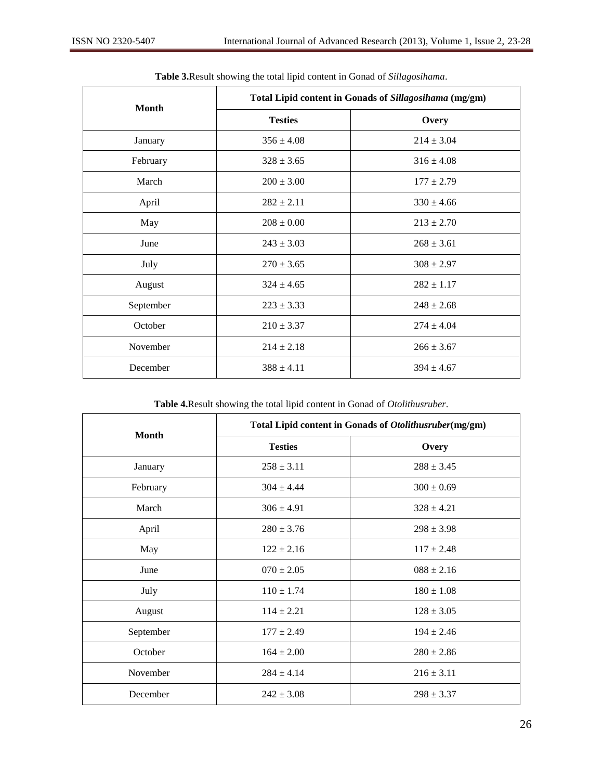| <b>Month</b> | Total Lipid content in Gonads of Sillagosihama (mg/gm) |                |
|--------------|--------------------------------------------------------|----------------|
|              | <b>Testies</b>                                         | Overy          |
| January      | $356 \pm 4.08$                                         | $214 \pm 3.04$ |
| February     | $328 \pm 3.65$                                         | $316 \pm 4.08$ |
| March        | $200 \pm 3.00$                                         | $177 \pm 2.79$ |
| April        | $282 \pm 2.11$                                         | $330 \pm 4.66$ |
| May          | $208 \pm 0.00$                                         | $213 \pm 2.70$ |
| June         | $243 \pm 3.03$                                         | $268 \pm 3.61$ |
| July         | $270 \pm 3.65$                                         | $308 \pm 2.97$ |
| August       | $324 \pm 4.65$                                         | $282 \pm 1.17$ |
| September    | $223 \pm 3.33$                                         | $248 \pm 2.68$ |
| October      | $210 \pm 3.37$                                         | $274 \pm 4.04$ |
| November     | $214 \pm 2.18$                                         | $266 \pm 3.67$ |
| December     | $388 \pm 4.11$                                         | $394 \pm 4.67$ |

## **Table 3.**Result showing the total lipid content in Gonad of *Sillagosihama*.

**Table 4.**Result showing the total lipid content in Gonad of *Otolithusruber*.

| <b>Month</b> | Total Lipid content in Gonads of Otolithusruber(mg/gm) |                |
|--------------|--------------------------------------------------------|----------------|
|              | <b>Testies</b>                                         | Overy          |
| January      | $258 \pm 3.11$                                         | $288 \pm 3.45$ |
| February     | $304 \pm 4.44$                                         | $300 \pm 0.69$ |
| March        | $306 \pm 4.91$                                         | $328 \pm 4.21$ |
| April        | $280 \pm 3.76$                                         | $298 \pm 3.98$ |
| May          | $122 \pm 2.16$                                         | $117 \pm 2.48$ |
| June         | $070 \pm 2.05$                                         | $088 \pm 2.16$ |
| July         | $110 \pm 1.74$                                         | $180 \pm 1.08$ |
| August       | $114 \pm 2.21$                                         | $128 \pm 3.05$ |
| September    | $177 \pm 2.49$                                         | $194 \pm 2.46$ |
| October      | $164 \pm 2.00$                                         | $280 \pm 2.86$ |
| November     | $284 \pm 4.14$                                         | $216 \pm 3.11$ |
| December     | $242 \pm 3.08$                                         | $298 \pm 3.37$ |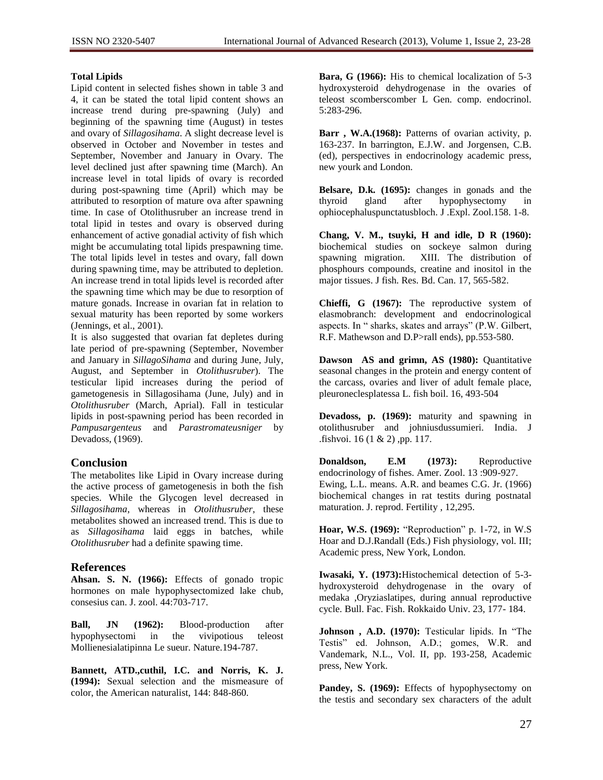#### **Total Lipids**

Lipid content in selected fishes shown in table 3 and 4, it can be stated the total lipid content shows an increase trend during pre-spawning (July) and beginning of the spawning time (August) in testes and ovary of *Sillagosihama*. A slight decrease level is observed in October and November in testes and September, November and January in Ovary. The level declined just after spawning time (March). An increase level in total lipids of ovary is recorded during post-spawning time (April) which may be attributed to resorption of mature ova after spawning time. In case of Otolithusruber an increase trend in total lipid in testes and ovary is observed during enhancement of active gonadial activity of fish which might be accumulating total lipids prespawning time. The total lipids level in testes and ovary, fall down during spawning time, may be attributed to depletion. An increase trend in total lipids level is recorded after the spawning time which may be due to resorption of mature gonads. Increase in ovarian fat in relation to sexual maturity has been reported by some workers (Jennings, et al., 2001).

It is also suggested that ovarian fat depletes during late period of pre-spawning (September, November and January in *SillagoSihama* and during June, July, August, and September in *Otolithusruber*). The testicular lipid increases during the period of gametogenesis in Sillagosihama (June, July) and in *Otolithusruber* (March, Aprial). Fall in testicular lipids in post-spawning period has been recorded in *Pampusargenteus* and *Parastromateusniger* by Devadoss, (1969).

# **Conclusion**

The metabolites like Lipid in Ovary increase during the active process of gametogenesis in both the fish species. While the Glycogen level decreased in *Sillagosihama*, whereas in *Otolithusruber*, these metabolites showed an increased trend. This is due to as *Sillagosihama* laid eggs in batches, while *Otolithusruber* had a definite spawing time.

## **References**

**Ahsan. S. N. (1966):** Effects of gonado tropic hormones on male hypophysectomized lake chub, consesius can. J. zool. 44:703-717.

**Ball, JN (1962):** Blood-production after hypophysectomi in the vivipotious teleost Mollienesialatipinna Le sueur. Nature.194-787.

**Bannett, ATD.,cuthil, I.C. and Norris, K. J. (1994):** Sexual selection and the mismeasure of color, the American naturalist, 144: 848-860.

**Bara, G (1966):** His to chemical localization of 5-3 hydroxysteroid dehydrogenase in the ovaries of teleost scomberscomber L Gen. comp. endocrinol. 5:283-296.

**Barr , W.A.(1968):** Patterns of ovarian activity, p. 163-237. In barrington, E.J.W. and Jorgensen, C.B. (ed), perspectives in endocrinology academic press, new yourk and London.

**Belsare, D.k. (1695):** changes in gonads and the thyroid gland after hypophysectomy in ophiocephaluspunctatusbloch. J .Expl. Zool.158. 1-8.

**Chang, V. M., tsuyki, H and idle, D R (1960):** biochemical studies on sockeye salmon during spawning migration. XIII. The distribution of phosphours compounds, creatine and inositol in the major tissues. J fish. Res. Bd. Can. 17, 565-582.

**Chieffi, G (1967):** The reproductive system of elasmobranch: development and endocrinological aspects. In " sharks, skates and arrays" (P.W. Gilbert, R.F. Mathewson and D.P>rall ends), pp.553-580.

**Dawson AS and grimn, AS (1980):** Quantitative seasonal changes in the protein and energy content of the carcass, ovaries and liver of adult female place, pleuroneclesplatessa L. fish boil. 16, 493-504

**Devadoss, p. (1969):** maturity and spawning in otolithusruber and johniusdussumieri. India. J .fishvoi. 16 (1 & 2) ,pp. 117.

**Donaldson, E.M (1973):** Reproductive endocrinology of fishes. Amer. Zool. 13 :909-927. Ewing, L.L. means. A.R. and beames C.G. Jr. (1966) biochemical changes in rat testits during postnatal maturation. J. reprod. Fertility , 12,295.

**Hoar, W.S. (1969):** "Reproduction" p. 1-72, in W.S Hoar and D.J.Randall (Eds.) Fish physiology, vol. III; Academic press, New York, London.

**Iwasaki, Y. (1973):**Histochemical detection of 5-3 hydroxysteroid dehydrogenase in the ovary of medaka ,Oryziaslatipes, during annual reproductive cycle. Bull. Fac. Fish. Rokkaido Univ. 23, 177- 184.

**Johnson , A.D. (1970):** Testicular lipids. In "The Testis" ed. Johnson, A.D.; gomes, W.R. and Vandemark, N.L., Vol. II, pp. 193-258, Academic press, New York.

Pandey, S. (1969): Effects of hypophysectomy on the testis and secondary sex characters of the adult